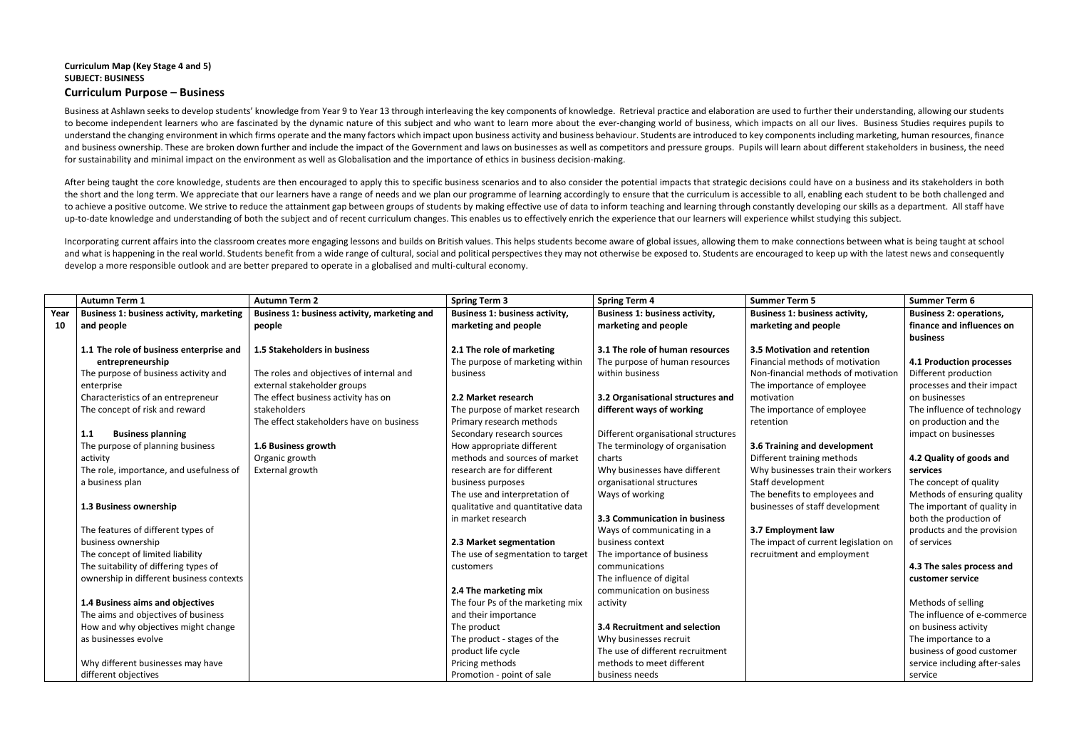## **Curriculum Map (Key Stage 4 and 5) SUBJECT: BUSINESS Curriculum Purpose – Business**

Business at Ashlawn seeks to develop students' knowledge from Year 9 to Year 13 through interleaving the key components of knowledge. Retrieval practice and elaboration are used to further their understanding, allowing our to become independent learners who are fascinated by the dynamic nature of this subject and who want to learn more about the ever-changing world of business, which impacts on all our lives. Business Studies requires pupils understand the changing environment in which firms operate and the many factors which impact upon business activity and business behaviour. Students are introduced to key components including marketing, human resources, fi and business ownership. These are broken down further and include the impact of the Government and laws on businesses as well as competitors and pressure groups. Pupils will learn about different stakeholders in business, for sustainability and minimal impact on the environment as well as Globalisation and the importance of ethics in business decision-making.

After being taught the core knowledge, students are then encouraged to apply this to specific business scenarios and to also consider the potential impacts that strategic decisions could have on a business and its stakehol the short and the long term. We appreciate that our learners have a range of needs and we plan our programme of learning accordingly to ensure that the curriculum is accessible to all, enabling each student to be both chal to achieve a positive outcome. We strive to reduce the attainment gap between groups of students by making effective use of data to inform teaching and learning through constantly developing our skills as a department. All up-to-date knowledge and understanding of both the subject and of recent curriculum changes. This enables us to effectively enrich the experience that our learners will experience whilst studying this subject.

Incorporating current affairs into the classroom creates more engaging lessons and builds on British values. This helps students become aware of global issues, allowing them to make connections between what is being taught and what is happening in the real world. Students benefit from a wide range of cultural, social and political perspectives they may not otherwise be exposed to. Students are encouraged to keep up with the latest news and c develop a more responsible outlook and are better prepared to operate in a globalised and multi-cultural economy.

|      | <b>Autumn Term 1</b>                            | <b>Autumn Term 2</b>                         | <b>Spring Term 3</b>                  | <b>Spring Term 4</b>                  | <b>Summer Term 5</b>                  | <b>Summer Term 6</b>            |
|------|-------------------------------------------------|----------------------------------------------|---------------------------------------|---------------------------------------|---------------------------------------|---------------------------------|
| Year | <b>Business 1: business activity, marketing</b> | Business 1: business activity, marketing and | <b>Business 1: business activity,</b> | <b>Business 1: business activity,</b> | <b>Business 1: business activity,</b> | <b>Business 2: operations,</b>  |
| 10   | and people                                      | people                                       | marketing and people                  | marketing and people                  | marketing and people                  | finance and influences on       |
|      |                                                 |                                              |                                       |                                       |                                       | business                        |
|      | 1.1 The role of business enterprise and         | 1.5 Stakeholders in business                 | 2.1 The role of marketing             | 3.1 The role of human resources       | 3.5 Motivation and retention          |                                 |
|      | entrepreneurship                                |                                              | The purpose of marketing within       | The purpose of human resources        | Financial methods of motivation       | <b>4.1 Production processes</b> |
|      | The purpose of business activity and            | The roles and objectives of internal and     | business                              | within business                       | Non-financial methods of motivation   | Different production            |
|      | enterprise                                      | external stakeholder groups                  |                                       |                                       | The importance of employee            | processes and their impact      |
|      | Characteristics of an entrepreneur              | The effect business activity has on          | 2.2 Market research                   | 3.2 Organisational structures and     | motivation                            | on businesses                   |
|      | The concept of risk and reward                  | stakeholders                                 | The purpose of market research        | different ways of working             | The importance of employee            | The influence of technology     |
|      |                                                 | The effect stakeholders have on business     | Primary research methods              |                                       | retention                             | on production and the           |
|      | 1.1<br><b>Business planning</b>                 |                                              | Secondary research sources            | Different organisational structures   |                                       | impact on businesses            |
|      | The purpose of planning business                | 1.6 Business growth                          | How appropriate different             | The terminology of organisation       | 3.6 Training and development          |                                 |
|      | activity                                        | Organic growth                               | methods and sources of market         | charts                                | Different training methods            | 4.2 Quality of goods and        |
|      | The role, importance, and usefulness of         | External growth                              | research are for different            | Why businesses have different         | Why businesses train their workers    | services                        |
|      | a business plan                                 |                                              | business purposes                     | organisational structures             | Staff development                     | The concept of quality          |
|      |                                                 |                                              | The use and interpretation of         | Ways of working                       | The benefits to employees and         | Methods of ensuring quality     |
|      | 1.3 Business ownership                          |                                              | qualitative and quantitative data     |                                       | businesses of staff development       | The important of quality in     |
|      |                                                 |                                              | in market research                    | 3.3 Communication in business         |                                       | both the production of          |
|      | The features of different types of              |                                              |                                       | Ways of communicating in a            | 3.7 Employment law                    | products and the provision      |
|      | business ownership                              |                                              | 2.3 Market segmentation               | business context                      | The impact of current legislation on  | of services                     |
|      | The concept of limited liability                |                                              | The use of segmentation to target     | The importance of business            | recruitment and employment            |                                 |
|      | The suitability of differing types of           |                                              | customers                             | communications                        |                                       | 4.3 The sales process and       |
|      | ownership in different business contexts        |                                              |                                       | The influence of digital              |                                       | customer service                |
|      |                                                 |                                              | 2.4 The marketing mix                 | communication on business             |                                       |                                 |
|      | 1.4 Business aims and objectives                |                                              | The four Ps of the marketing mix      | activity                              |                                       | Methods of selling              |
|      | The aims and objectives of business             |                                              | and their importance                  |                                       |                                       | The influence of e-commerce     |
|      | How and why objectives might change             |                                              | The product                           | 3.4 Recruitment and selection         |                                       | on business activity            |
|      | as businesses evolve                            |                                              | The product - stages of the           | Why businesses recruit                |                                       | The importance to a             |
|      |                                                 |                                              | product life cycle                    | The use of different recruitment      |                                       | business of good customer       |
|      | Why different businesses may have               |                                              | Pricing methods                       | methods to meet different             |                                       | service including after-sales   |
|      | different objectives                            |                                              | Promotion - point of sale             | business needs                        |                                       | service                         |